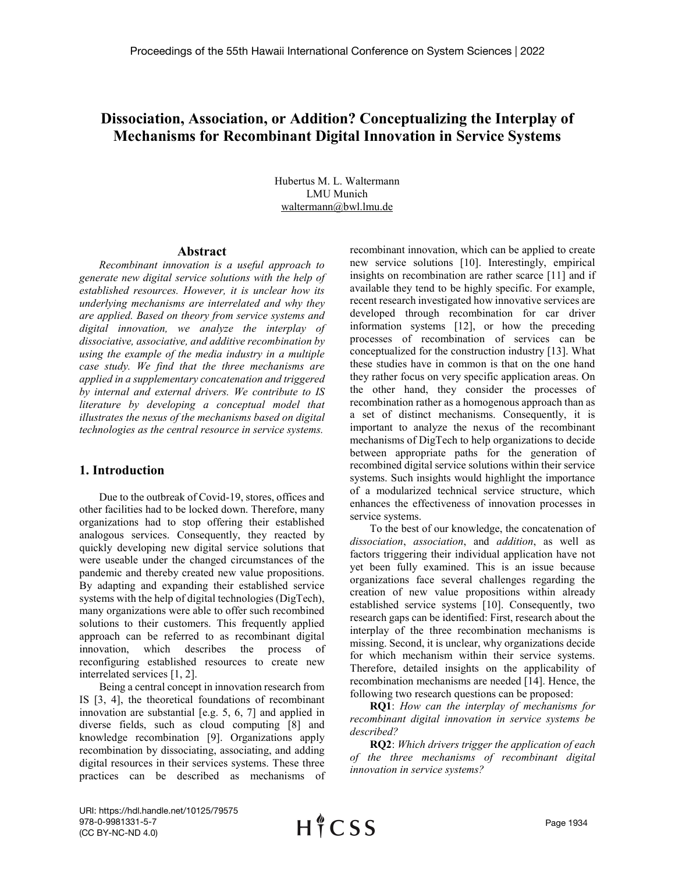# **Dissociation, Association, or Addition? Conceptualizing the Interplay of Mechanisms for Recombinant Digital Innovation in Service Systems**

Hubertus M. L. Waltermann LMU Munich waltermann@bwl.lmu.de

#### **Abstract**

*Recombinant innovation is a useful approach to generate new digital service solutions with the help of established resources. However, it is unclear how its underlying mechanisms are interrelated and why they are applied. Based on theory from service systems and digital innovation, we analyze the interplay of dissociative, associative, and additive recombination by using the example of the media industry in a multiple case study. We find that the three mechanisms are applied in a supplementary concatenation and triggered by internal and external drivers. We contribute to IS literature by developing a conceptual model that illustrates the nexus of the mechanisms based on digital technologies as the central resource in service systems.*

#### **1. Introduction**

Due to the outbreak of Covid-19, stores, offices and other facilities had to be locked down. Therefore, many organizations had to stop offering their established analogous services. Consequently, they reacted by quickly developing new digital service solutions that were useable under the changed circumstances of the pandemic and thereby created new value propositions. By adapting and expanding their established service systems with the help of digital technologies (DigTech), many organizations were able to offer such recombined solutions to their customers. This frequently applied approach can be referred to as recombinant digital innovation, which describes the process of reconfiguring established resources to create new interrelated services [1, 2].

Being a central concept in innovation research from IS [3, 4], the theoretical foundations of recombinant innovation are substantial [e.g. 5, 6, 7] and applied in diverse fields, such as cloud computing [8] and knowledge recombination [9]. Organizations apply recombination by dissociating, associating, and adding digital resources in their services systems. These three practices can be described as mechanisms of recombinant innovation, which can be applied to create new service solutions [10]. Interestingly, empirical insights on recombination are rather scarce [11] and if available they tend to be highly specific. For example, recent research investigated how innovative services are developed through recombination for car driver information systems [12], or how the preceding processes of recombination of services can be conceptualized for the construction industry [13]. What these studies have in common is that on the one hand they rather focus on very specific application areas. On the other hand, they consider the processes of recombination rather as a homogenous approach than as a set of distinct mechanisms. Consequently, it is important to analyze the nexus of the recombinant mechanisms of DigTech to help organizations to decide between appropriate paths for the generation of recombined digital service solutions within their service systems. Such insights would highlight the importance of a modularized technical service structure, which enhances the effectiveness of innovation processes in service systems.

To the best of our knowledge, the concatenation of *dissociation*, *association*, and *addition*, as well as factors triggering their individual application have not yet been fully examined. This is an issue because organizations face several challenges regarding the creation of new value propositions within already established service systems [10]. Consequently, two research gaps can be identified: First, research about the interplay of the three recombination mechanisms is missing. Second, it is unclear, why organizations decide for which mechanism within their service systems. Therefore, detailed insights on the applicability of recombination mechanisms are needed [14]. Hence, the following two research questions can be proposed:

**RQ1**: *How can the interplay of mechanisms for recombinant digital innovation in service systems be described?*

**RQ2**: *Which drivers trigger the application of each of the three mechanisms of recombinant digital innovation in service systems?*

URI: https://hdl.handle.net/10125/79575 978-0-9981331-5-7 (CC BY-NC-ND 4.0)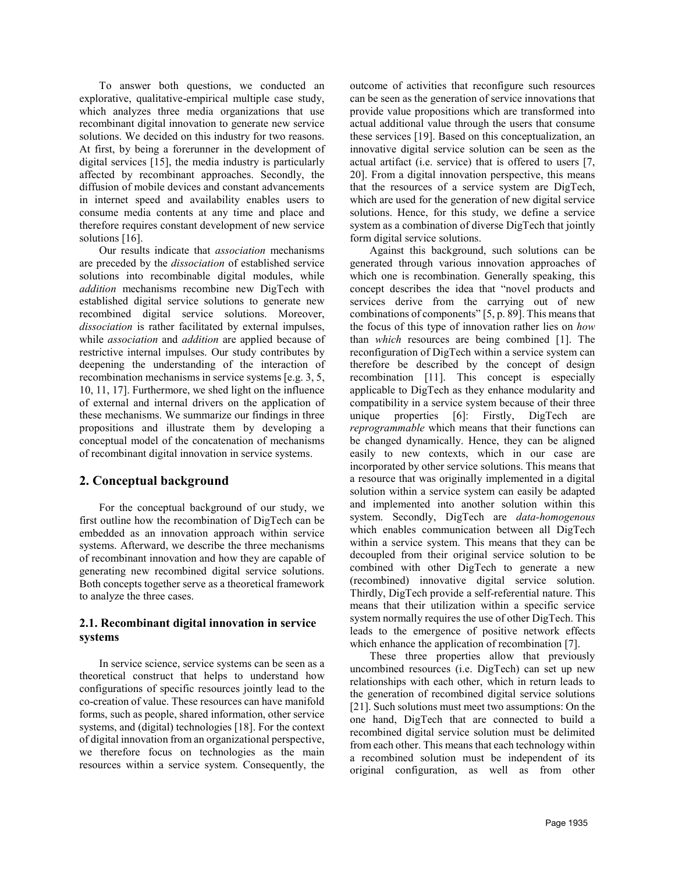To answer both questions, we conducted an explorative, qualitative-empirical multiple case study, which analyzes three media organizations that use recombinant digital innovation to generate new service solutions. We decided on this industry for two reasons. At first, by being a forerunner in the development of digital services [15], the media industry is particularly affected by recombinant approaches. Secondly, the diffusion of mobile devices and constant advancements in internet speed and availability enables users to consume media contents at any time and place and therefore requires constant development of new service solutions [16].

Our results indicate that *association* mechanisms are preceded by the *dissociation* of established service solutions into recombinable digital modules, while *addition* mechanisms recombine new DigTech with established digital service solutions to generate new recombined digital service solutions. Moreover, *dissociation* is rather facilitated by external impulses, while *association* and *addition* are applied because of restrictive internal impulses. Our study contributes by deepening the understanding of the interaction of recombination mechanisms in service systems [e.g. 3, 5, 10, 11, 17]. Furthermore, we shed light on the influence of external and internal drivers on the application of these mechanisms. We summarize our findings in three propositions and illustrate them by developing a conceptual model of the concatenation of mechanisms of recombinant digital innovation in service systems.

# **2. Conceptual background**

For the conceptual background of our study, we first outline how the recombination of DigTech can be embedded as an innovation approach within service systems. Afterward, we describe the three mechanisms of recombinant innovation and how they are capable of generating new recombined digital service solutions. Both concepts together serve as a theoretical framework to analyze the three cases.

## **2.1. Recombinant digital innovation in service systems**

In service science, service systems can be seen as a theoretical construct that helps to understand how configurations of specific resources jointly lead to the co-creation of value. These resources can have manifold forms, such as people, shared information, other service systems, and (digital) technologies [18]. For the context of digital innovation from an organizational perspective, we therefore focus on technologies as the main resources within a service system. Consequently, the outcome of activities that reconfigure such resources can be seen as the generation of service innovations that provide value propositions which are transformed into actual additional value through the users that consume these services [19]. Based on this conceptualization, an innovative digital service solution can be seen as the actual artifact (i.e. service) that is offered to users [7, 20]. From a digital innovation perspective, this means that the resources of a service system are DigTech, which are used for the generation of new digital service solutions. Hence, for this study, we define a service system as a combination of diverse DigTech that jointly form digital service solutions.

Against this background, such solutions can be generated through various innovation approaches of which one is recombination. Generally speaking, this concept describes the idea that "novel products and services derive from the carrying out of new combinations of components" [5, p. 89]. This means that the focus of this type of innovation rather lies on *how*  than *which* resources are being combined [1]. The reconfiguration of DigTech within a service system can therefore be described by the concept of design recombination [11]. This concept is especially applicable to DigTech as they enhance modularity and compatibility in a service system because of their three unique properties [6]: Firstly, DigTech are *reprogrammable* which means that their functions can be changed dynamically. Hence, they can be aligned easily to new contexts, which in our case are incorporated by other service solutions. This means that a resource that was originally implemented in a digital solution within a service system can easily be adapted and implemented into another solution within this system. Secondly, DigTech are *data-homogenous* which enables communication between all DigTech within a service system. This means that they can be decoupled from their original service solution to be combined with other DigTech to generate a new (recombined) innovative digital service solution. Thirdly, DigTech provide a self-referential nature. This means that their utilization within a specific service system normally requires the use of other DigTech. This leads to the emergence of positive network effects which enhance the application of recombination [7].

These three properties allow that previously uncombined resources (i.e. DigTech) can set up new relationships with each other, which in return leads to the generation of recombined digital service solutions [21]. Such solutions must meet two assumptions: On the one hand, DigTech that are connected to build a recombined digital service solution must be delimited from each other. This means that each technology within a recombined solution must be independent of its original configuration, as well as from other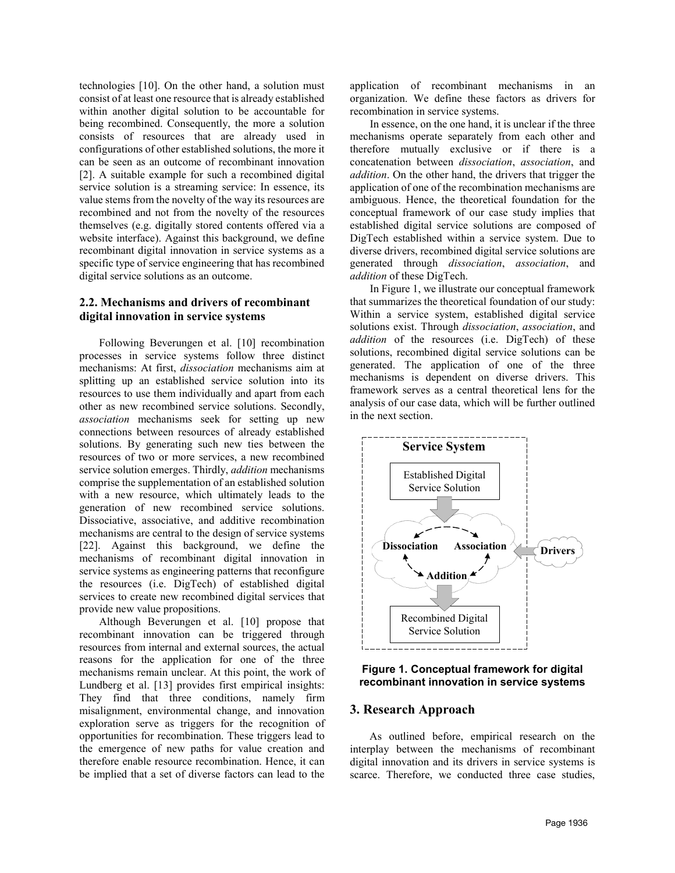technologies [10]. On the other hand, a solution must consist of at least one resource that is already established within another digital solution to be accountable for being recombined. Consequently, the more a solution consists of resources that are already used in configurations of other established solutions, the more it can be seen as an outcome of recombinant innovation [2]. A suitable example for such a recombined digital service solution is a streaming service: In essence, its value stems from the novelty of the way its resources are recombined and not from the novelty of the resources themselves (e.g. digitally stored contents offered via a website interface). Against this background, we define recombinant digital innovation in service systems as a specific type of service engineering that has recombined digital service solutions as an outcome.

## **2.2. Mechanisms and drivers of recombinant digital innovation in service systems**

Following Beverungen et al. [10] recombination processes in service systems follow three distinct mechanisms: At first, *dissociation* mechanisms aim at splitting up an established service solution into its resources to use them individually and apart from each other as new recombined service solutions. Secondly, *association* mechanisms seek for setting up new connections between resources of already established solutions. By generating such new ties between the resources of two or more services, a new recombined service solution emerges. Thirdly, *addition* mechanisms comprise the supplementation of an established solution with a new resource, which ultimately leads to the generation of new recombined service solutions. Dissociative, associative, and additive recombination mechanisms are central to the design of service systems [22]. Against this background, we define the mechanisms of recombinant digital innovation in service systems as engineering patterns that reconfigure the resources (i.e. DigTech) of established digital services to create new recombined digital services that provide new value propositions.

Although Beverungen et al. [10] propose that recombinant innovation can be triggered through resources from internal and external sources, the actual reasons for the application for one of the three mechanisms remain unclear. At this point, the work of Lundberg et al. [13] provides first empirical insights: They find that three conditions, namely firm misalignment, environmental change, and innovation exploration serve as triggers for the recognition of opportunities for recombination. These triggers lead to the emergence of new paths for value creation and therefore enable resource recombination. Hence, it can be implied that a set of diverse factors can lead to the

application of recombinant mechanisms in an organization. We define these factors as drivers for recombination in service systems.

In essence, on the one hand, it is unclear if the three mechanisms operate separately from each other and therefore mutually exclusive or if there is a concatenation between *dissociation*, *association*, and *addition*. On the other hand, the drivers that trigger the application of one of the recombination mechanisms are ambiguous. Hence, the theoretical foundation for the conceptual framework of our case study implies that established digital service solutions are composed of DigTech established within a service system. Due to diverse drivers, recombined digital service solutions are generated through *dissociation*, *association*, and *addition* of these DigTech.

In Figure 1, we illustrate our conceptual framework that summarizes the theoretical foundation of our study: Within a service system, established digital service solutions exist. Through *dissociation*, *association*, and *addition* of the resources (i.e. DigTech) of these solutions, recombined digital service solutions can be generated. The application of one of the three mechanisms is dependent on diverse drivers. This framework serves as a central theoretical lens for the analysis of our case data, which will be further outlined in the next section.



## **Figure 1. Conceptual framework for digital recombinant innovation in service systems**

## **3. Research Approach**

As outlined before, empirical research on the interplay between the mechanisms of recombinant digital innovation and its drivers in service systems is scarce. Therefore, we conducted three case studies,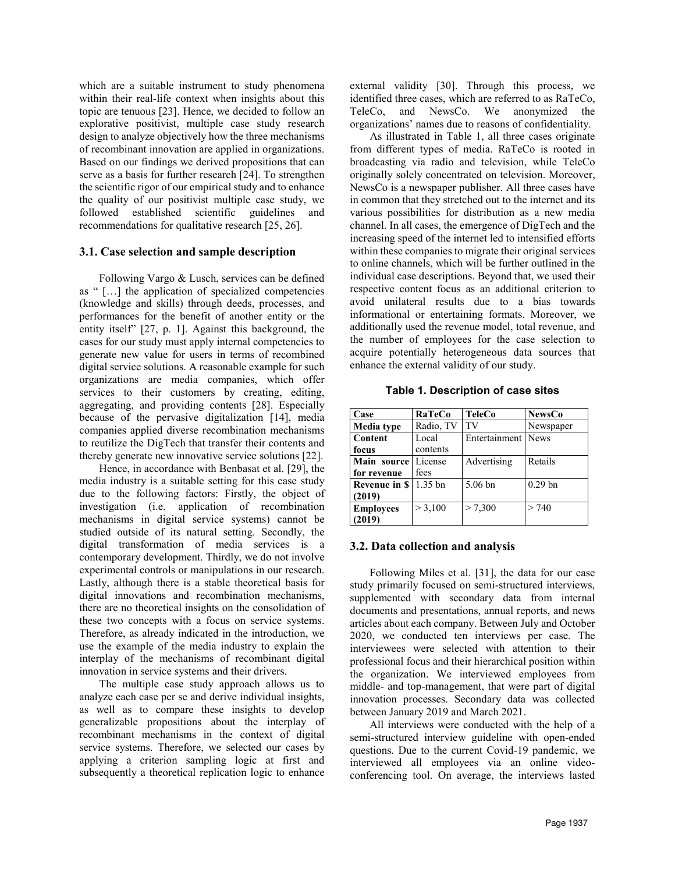which are a suitable instrument to study phenomena within their real-life context when insights about this topic are tenuous [23]. Hence, we decided to follow an explorative positivist, multiple case study research design to analyze objectively how the three mechanisms of recombinant innovation are applied in organizations. Based on our findings we derived propositions that can serve as a basis for further research [24]. To strengthen the scientific rigor of our empirical study and to enhance the quality of our positivist multiple case study, we followed established scientific guidelines and recommendations for qualitative research [25, 26].

#### **3.1. Case selection and sample description**

Following Vargo & Lusch, services can be defined as " […] the application of specialized competencies (knowledge and skills) through deeds, processes, and performances for the benefit of another entity or the entity itself" [27, p. 1]. Against this background, the cases for our study must apply internal competencies to generate new value for users in terms of recombined digital service solutions. A reasonable example for such organizations are media companies, which offer services to their customers by creating, editing, aggregating, and providing contents [28]. Especially because of the pervasive digitalization [14], media companies applied diverse recombination mechanisms to reutilize the DigTech that transfer their contents and thereby generate new innovative service solutions [22].

Hence, in accordance with Benbasat et al. [29], the media industry is a suitable setting for this case study due to the following factors: Firstly, the object of investigation (i.e. application of recombination mechanisms in digital service systems) cannot be studied outside of its natural setting. Secondly, the digital transformation of media services is a contemporary development. Thirdly, we do not involve experimental controls or manipulations in our research. Lastly, although there is a stable theoretical basis for digital innovations and recombination mechanisms, there are no theoretical insights on the consolidation of these two concepts with a focus on service systems. Therefore, as already indicated in the introduction, we use the example of the media industry to explain the interplay of the mechanisms of recombinant digital innovation in service systems and their drivers.

The multiple case study approach allows us to analyze each case per se and derive individual insights, as well as to compare these insights to develop generalizable propositions about the interplay of recombinant mechanisms in the context of digital service systems. Therefore, we selected our cases by applying a criterion sampling logic at first and subsequently a theoretical replication logic to enhance

external validity [30]. Through this process, we identified three cases, which are referred to as RaTeCo, TeleCo, and NewsCo. We anonymized the organizations' names due to reasons of confidentiality.

As illustrated in Table 1, all three cases originate from different types of media. RaTeCo is rooted in broadcasting via radio and television, while TeleCo originally solely concentrated on television. Moreover, NewsCo is a newspaper publisher. All three cases have in common that they stretched out to the internet and its various possibilities for distribution as a new media channel. In all cases, the emergence of DigTech and the increasing speed of the internet led to intensified efforts within these companies to migrate their original services to online channels, which will be further outlined in the individual case descriptions. Beyond that, we used their respective content focus as an additional criterion to avoid unilateral results due to a bias towards informational or entertaining formats. Moreover, we additionally used the revenue model, total revenue, and the number of employees for the case selection to acquire potentially heterogeneous data sources that enhance the external validity of our study.

**Table 1. Description of case sites**

| Case              | RaTeCo    | <b>TeleCo</b>      | <b>NewsCo</b> |
|-------------------|-----------|--------------------|---------------|
| <b>Media</b> type | Radio, TV | TV                 | Newspaper     |
| <b>Content</b>    | Local     | Entertainment News |               |
| focus             | contents  |                    |               |
| Main source       | License   | Advertising        | Retails       |
| for revenue       | fees      |                    |               |
| Revenue in \$     | $1.35$ bn | 5.06 bn            | $0.29$ bn     |
| (2019)            |           |                    |               |
| <b>Employees</b>  | > 3,100   | > 7,300            | > 740         |
| (2019)            |           |                    |               |

## **3.2. Data collection and analysis**

Following Miles et al. [31], the data for our case study primarily focused on semi-structured interviews, supplemented with secondary data from internal documents and presentations, annual reports, and news articles about each company. Between July and October 2020, we conducted ten interviews per case. The interviewees were selected with attention to their professional focus and their hierarchical position within the organization. We interviewed employees from middle- and top-management, that were part of digital innovation processes. Secondary data was collected between January 2019 and March 2021.

All interviews were conducted with the help of a semi-structured interview guideline with open-ended questions. Due to the current Covid-19 pandemic, we interviewed all employees via an online videoconferencing tool. On average, the interviews lasted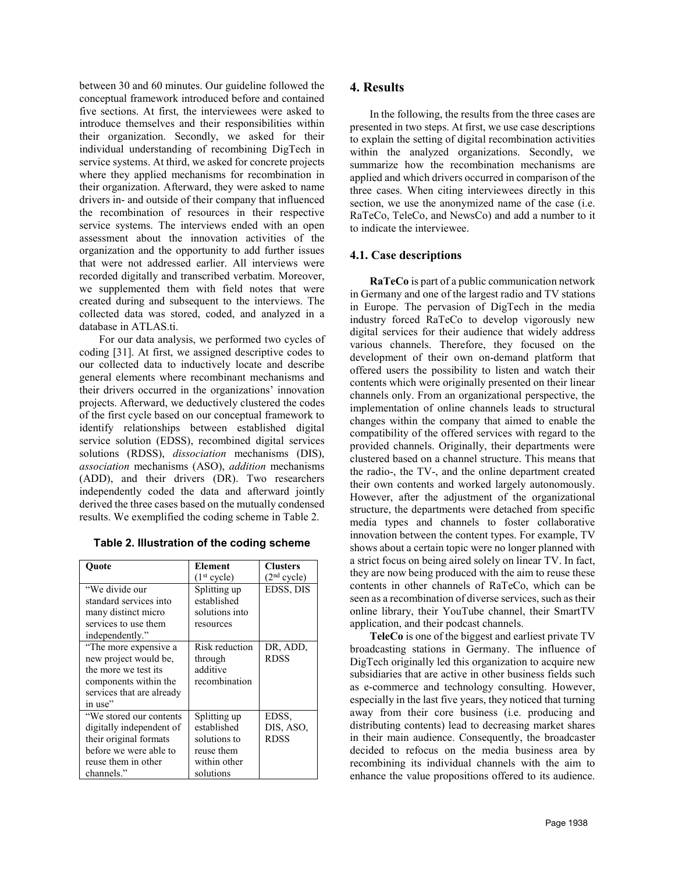between 30 and 60 minutes. Our guideline followed the conceptual framework introduced before and contained five sections. At first, the interviewees were asked to introduce themselves and their responsibilities within their organization. Secondly, we asked for their individual understanding of recombining DigTech in service systems. At third, we asked for concrete projects where they applied mechanisms for recombination in their organization. Afterward, they were asked to name drivers in- and outside of their company that influenced the recombination of resources in their respective service systems. The interviews ended with an open assessment about the innovation activities of the organization and the opportunity to add further issues that were not addressed earlier. All interviews were recorded digitally and transcribed verbatim. Moreover, we supplemented them with field notes that were created during and subsequent to the interviews. The collected data was stored, coded, and analyzed in a database in ATLAS.ti.

For our data analysis, we performed two cycles of coding [31]. At first, we assigned descriptive codes to our collected data to inductively locate and describe general elements where recombinant mechanisms and their drivers occurred in the organizations' innovation projects. Afterward, we deductively clustered the codes of the first cycle based on our conceptual framework to identify relationships between established digital service solution (EDSS), recombined digital services solutions (RDSS), *dissociation* mechanisms (DIS), *association* mechanisms (ASO), *addition* mechanisms (ADD), and their drivers (DR). Two researchers independently coded the data and afterward jointly derived the three cases based on the mutually condensed results. We exemplified the coding scheme in Table 2.

| Ouote                     | Element                 | <b>Clusters</b>         |
|---------------------------|-------------------------|-------------------------|
|                           | (1 <sup>st</sup> cycle) | (2 <sup>nd</sup> cycle) |
| "We divide our            | Splitting up            | EDSS, DIS               |
| standard services into    | established             |                         |
| many distinct micro       | solutions into          |                         |
| services to use them      | resources               |                         |
| independently."           |                         |                         |
| "The more expensive a     | Risk reduction          | DR, ADD,                |
| new project would be,     | through                 | <b>RDSS</b>             |
| the more we test its      | additive                |                         |
| components within the     | recombination           |                         |
| services that are already |                         |                         |
| in use"                   |                         |                         |
| "We stored our contents"  | Splitting up            | EDSS,                   |
| digitally independent of  | established             | DIS, ASO,               |
| their original formats    | solutions to            | <b>RDSS</b>             |
| before we were able to    | reuse them              |                         |
| reuse them in other       | within other            |                         |
| channels."                | solutions               |                         |

# **4. Results**

In the following, the results from the three cases are presented in two steps. At first, we use case descriptions to explain the setting of digital recombination activities within the analyzed organizations. Secondly, we summarize how the recombination mechanisms are applied and which drivers occurred in comparison of the three cases. When citing interviewees directly in this section, we use the anonymized name of the case (i.e. RaTeCo, TeleCo, and NewsCo) and add a number to it to indicate the interviewee.

# **4.1. Case descriptions**

**RaTeCo** is part of a public communication network in Germany and one of the largest radio and TV stations in Europe. The pervasion of DigTech in the media industry forced RaTeCo to develop vigorously new digital services for their audience that widely address various channels. Therefore, they focused on the development of their own on-demand platform that offered users the possibility to listen and watch their contents which were originally presented on their linear channels only. From an organizational perspective, the implementation of online channels leads to structural changes within the company that aimed to enable the compatibility of the offered services with regard to the provided channels. Originally, their departments were clustered based on a channel structure. This means that the radio-, the TV-, and the online department created their own contents and worked largely autonomously. However, after the adjustment of the organizational structure, the departments were detached from specific media types and channels to foster collaborative innovation between the content types. For example, TV shows about a certain topic were no longer planned with a strict focus on being aired solely on linear TV. In fact, they are now being produced with the aim to reuse these contents in other channels of RaTeCo, which can be seen as a recombination of diverse services, such as their online library, their YouTube channel, their SmartTV application, and their podcast channels.

**TeleCo** is one of the biggest and earliest private TV broadcasting stations in Germany. The influence of DigTech originally led this organization to acquire new subsidiaries that are active in other business fields such as e-commerce and technology consulting. However, especially in the last five years, they noticed that turning away from their core business (i.e. producing and distributing contents) lead to decreasing market shares in their main audience. Consequently, the broadcaster decided to refocus on the media business area by recombining its individual channels with the aim to enhance the value propositions offered to its audience.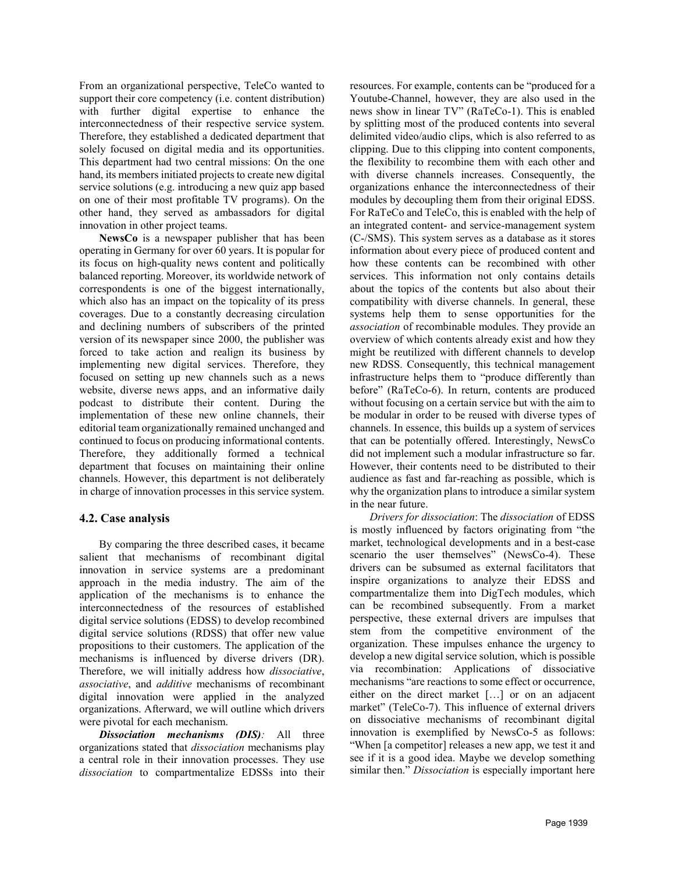From an organizational perspective, TeleCo wanted to support their core competency (i.e. content distribution) with further digital expertise to enhance the interconnectedness of their respective service system. Therefore, they established a dedicated department that solely focused on digital media and its opportunities. This department had two central missions: On the one hand, its members initiated projects to create new digital service solutions (e.g. introducing a new quiz app based on one of their most profitable TV programs). On the other hand, they served as ambassadors for digital innovation in other project teams.

**NewsCo** is a newspaper publisher that has been operating in Germany for over 60 years. It is popular for its focus on high-quality news content and politically balanced reporting. Moreover, its worldwide network of correspondents is one of the biggest internationally, which also has an impact on the topicality of its press coverages. Due to a constantly decreasing circulation and declining numbers of subscribers of the printed version of its newspaper since 2000, the publisher was forced to take action and realign its business by implementing new digital services. Therefore, they focused on setting up new channels such as a news website, diverse news apps, and an informative daily podcast to distribute their content. During the implementation of these new online channels, their editorial team organizationally remained unchanged and continued to focus on producing informational contents. Therefore, they additionally formed a technical department that focuses on maintaining their online channels. However, this department is not deliberately in charge of innovation processes in this service system.

# **4.2. Case analysis**

By comparing the three described cases, it became salient that mechanisms of recombinant digital innovation in service systems are a predominant approach in the media industry. The aim of the application of the mechanisms is to enhance the interconnectedness of the resources of established digital service solutions (EDSS) to develop recombined digital service solutions (RDSS) that offer new value propositions to their customers. The application of the mechanisms is influenced by diverse drivers (DR). Therefore, we will initially address how *dissociative*, *associative*, and *additive* mechanisms of recombinant digital innovation were applied in the analyzed organizations. Afterward, we will outline which drivers were pivotal for each mechanism.

*Dissociation mechanisms (DIS):* All three organizations stated that *dissociation* mechanisms play a central role in their innovation processes. They use *dissociation* to compartmentalize EDSSs into their

resources. For example, contents can be "produced for a Youtube-Channel, however, they are also used in the news show in linear TV" (RaTeCo-1). This is enabled by splitting most of the produced contents into several delimited video/audio clips, which is also referred to as clipping. Due to this clipping into content components, the flexibility to recombine them with each other and with diverse channels increases. Consequently, the organizations enhance the interconnectedness of their modules by decoupling them from their original EDSS. For RaTeCo and TeleCo, this is enabled with the help of an integrated content- and service-management system (C-/SMS). This system serves as a database as it stores information about every piece of produced content and how these contents can be recombined with other services. This information not only contains details about the topics of the contents but also about their compatibility with diverse channels. In general, these systems help them to sense opportunities for the *association* of recombinable modules. They provide an overview of which contents already exist and how they might be reutilized with different channels to develop new RDSS. Consequently, this technical management infrastructure helps them to "produce differently than before" (RaTeCo-6). In return, contents are produced without focusing on a certain service but with the aim to be modular in order to be reused with diverse types of channels. In essence, this builds up a system of services that can be potentially offered. Interestingly, NewsCo did not implement such a modular infrastructure so far. However, their contents need to be distributed to their audience as fast and far-reaching as possible, which is why the organization plans to introduce a similar system in the near future.

*Drivers for dissociation*: The *dissociation* of EDSS is mostly influenced by factors originating from "the market, technological developments and in a best-case scenario the user themselves" (NewsCo-4). These drivers can be subsumed as external facilitators that inspire organizations to analyze their EDSS and compartmentalize them into DigTech modules, which can be recombined subsequently. From a market perspective, these external drivers are impulses that stem from the competitive environment of the organization. These impulses enhance the urgency to develop a new digital service solution, which is possible via recombination: Applications of dissociative mechanisms "are reactions to some effect or occurrence, either on the direct market […] or on an adjacent market" (TeleCo-7). This influence of external drivers on dissociative mechanisms of recombinant digital innovation is exemplified by NewsCo-5 as follows: "When [a competitor] releases a new app, we test it and see if it is a good idea. Maybe we develop something similar then." *Dissociation* is especially important here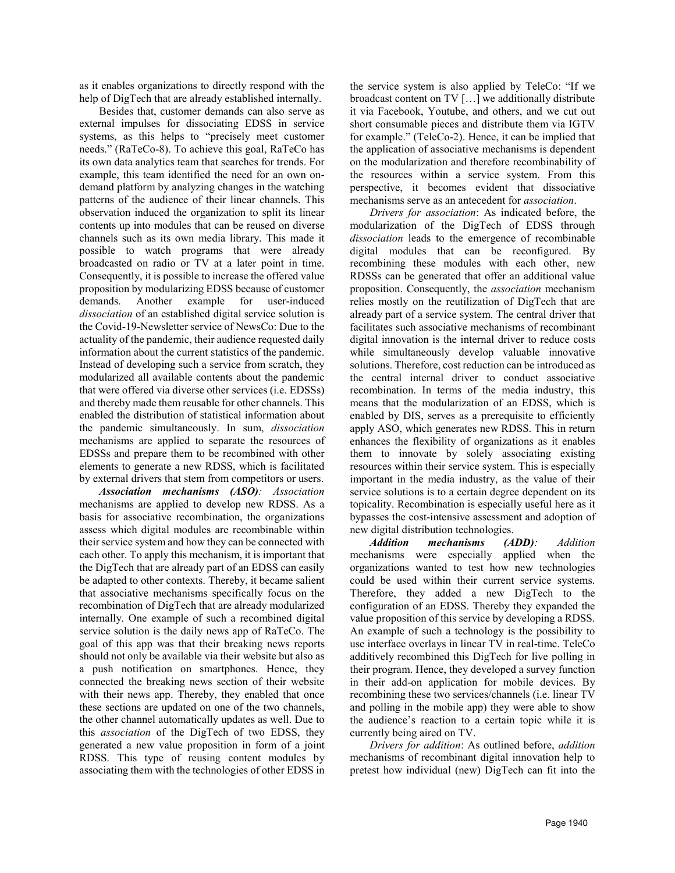as it enables organizations to directly respond with the help of DigTech that are already established internally.

Besides that, customer demands can also serve as external impulses for dissociating EDSS in service systems, as this helps to "precisely meet customer needs." (RaTeCo-8). To achieve this goal, RaTeCo has its own data analytics team that searches for trends. For example, this team identified the need for an own ondemand platform by analyzing changes in the watching patterns of the audience of their linear channels. This observation induced the organization to split its linear contents up into modules that can be reused on diverse channels such as its own media library. This made it possible to watch programs that were already broadcasted on radio or TV at a later point in time. Consequently, it is possible to increase the offered value proposition by modularizing EDSS because of customer demands. Another example for user-induced *dissociation* of an established digital service solution is the Covid-19-Newsletter service of NewsCo: Due to the actuality of the pandemic, their audience requested daily information about the current statistics of the pandemic. Instead of developing such a service from scratch, they modularized all available contents about the pandemic that were offered via diverse other services (i.e. EDSSs) and thereby made them reusable for other channels. This enabled the distribution of statistical information about the pandemic simultaneously. In sum, *dissociation* mechanisms are applied to separate the resources of EDSSs and prepare them to be recombined with other elements to generate a new RDSS, which is facilitated by external drivers that stem from competitors or users.

*Association mechanisms (ASO): Association* mechanisms are applied to develop new RDSS. As a basis for associative recombination, the organizations assess which digital modules are recombinable within their service system and how they can be connected with each other. To apply this mechanism, it is important that the DigTech that are already part of an EDSS can easily be adapted to other contexts. Thereby, it became salient that associative mechanisms specifically focus on the recombination of DigTech that are already modularized internally. One example of such a recombined digital service solution is the daily news app of RaTeCo. The goal of this app was that their breaking news reports should not only be available via their website but also as a push notification on smartphones. Hence, they connected the breaking news section of their website with their news app. Thereby, they enabled that once these sections are updated on one of the two channels, the other channel automatically updates as well. Due to this *association* of the DigTech of two EDSS, they generated a new value proposition in form of a joint RDSS. This type of reusing content modules by associating them with the technologies of other EDSS in the service system is also applied by TeleCo: "If we broadcast content on TV […] we additionally distribute it via Facebook, Youtube, and others, and we cut out short consumable pieces and distribute them via IGTV for example." (TeleCo-2). Hence, it can be implied that the application of associative mechanisms is dependent on the modularization and therefore recombinability of the resources within a service system. From this perspective, it becomes evident that dissociative mechanisms serve as an antecedent for *association*.

*Drivers for association*: As indicated before, the modularization of the DigTech of EDSS through *dissociation* leads to the emergence of recombinable digital modules that can be reconfigured. By recombining these modules with each other, new RDSSs can be generated that offer an additional value proposition. Consequently, the *association* mechanism relies mostly on the reutilization of DigTech that are already part of a service system. The central driver that facilitates such associative mechanisms of recombinant digital innovation is the internal driver to reduce costs while simultaneously develop valuable innovative solutions. Therefore, cost reduction can be introduced as the central internal driver to conduct associative recombination. In terms of the media industry, this means that the modularization of an EDSS, which is enabled by DIS, serves as a prerequisite to efficiently apply ASO, which generates new RDSS. This in return enhances the flexibility of organizations as it enables them to innovate by solely associating existing resources within their service system. This is especially important in the media industry, as the value of their service solutions is to a certain degree dependent on its topicality. Recombination is especially useful here as it bypasses the cost-intensive assessment and adoption of new digital distribution technologies.

*Addition mechanisms (ADD): Addition* mechanisms were especially applied when the organizations wanted to test how new technologies could be used within their current service systems. Therefore, they added a new DigTech to the configuration of an EDSS. Thereby they expanded the value proposition of this service by developing a RDSS. An example of such a technology is the possibility to use interface overlays in linear TV in real-time. TeleCo additively recombined this DigTech for live polling in their program. Hence, they developed a survey function in their add-on application for mobile devices. By recombining these two services/channels (i.e. linear TV and polling in the mobile app) they were able to show the audience's reaction to a certain topic while it is currently being aired on TV.

*Drivers for addition*: As outlined before, *addition* mechanisms of recombinant digital innovation help to pretest how individual (new) DigTech can fit into the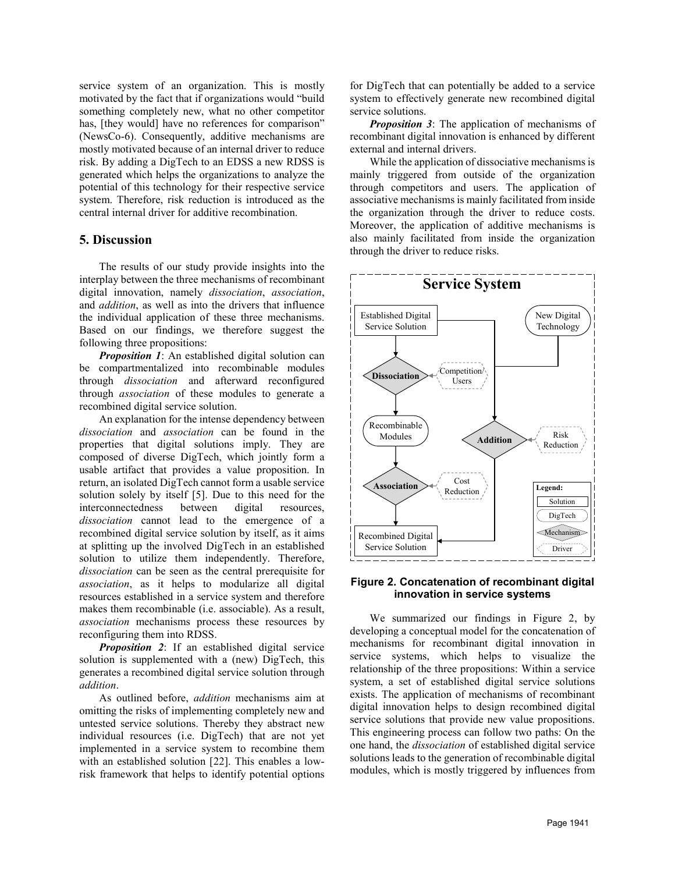service system of an organization. This is mostly motivated by the fact that if organizations would "build something completely new, what no other competitor has, [they would] have no references for comparison" (NewsCo-6). Consequently, additive mechanisms are mostly motivated because of an internal driver to reduce risk. By adding a DigTech to an EDSS a new RDSS is generated which helps the organizations to analyze the potential of this technology for their respective service system. Therefore, risk reduction is introduced as the central internal driver for additive recombination.

## **5. Discussion**

The results of our study provide insights into the interplay between the three mechanisms of recombinant digital innovation, namely *dissociation*, *association*, and *addition*, as well as into the drivers that influence the individual application of these three mechanisms. Based on our findings, we therefore suggest the following three propositions:

*Proposition 1*: An established digital solution can be compartmentalized into recombinable modules through *dissociation* and afterward reconfigured through *association* of these modules to generate a recombined digital service solution.

An explanation for the intense dependency between *dissociation* and *association* can be found in the properties that digital solutions imply. They are composed of diverse DigTech, which jointly form a usable artifact that provides a value proposition. In return, an isolated DigTech cannot form a usable service solution solely by itself [5]. Due to this need for the interconnectedness between digital resources, *dissociation* cannot lead to the emergence of a recombined digital service solution by itself, as it aims at splitting up the involved DigTech in an established solution to utilize them independently. Therefore, *dissociation* can be seen as the central prerequisite for *association*, as it helps to modularize all digital resources established in a service system and therefore makes them recombinable (i.e. associable). As a result, *association* mechanisms process these resources by reconfiguring them into RDSS.

*Proposition 2*: If an established digital service solution is supplemented with a (new) DigTech, this generates a recombined digital service solution through *addition*.

As outlined before, *addition* mechanisms aim at omitting the risks of implementing completely new and untested service solutions. Thereby they abstract new individual resources (i.e. DigTech) that are not yet implemented in a service system to recombine them with an established solution [22]. This enables a lowrisk framework that helps to identify potential options

for DigTech that can potentially be added to a service system to effectively generate new recombined digital service solutions.

*Proposition 3*: The application of mechanisms of recombinant digital innovation is enhanced by different external and internal drivers.

While the application of dissociative mechanisms is mainly triggered from outside of the organization through competitors and users. The application of associative mechanisms is mainly facilitated from inside the organization through the driver to reduce costs. Moreover, the application of additive mechanisms is also mainly facilitated from inside the organization through the driver to reduce risks.



#### **Figure 2. Concatenation of recombinant digital innovation in service systems**

We summarized our findings in Figure 2, by developing a conceptual model for the concatenation of mechanisms for recombinant digital innovation in service systems, which helps to visualize the relationship of the three propositions: Within a service system, a set of established digital service solutions exists. The application of mechanisms of recombinant digital innovation helps to design recombined digital service solutions that provide new value propositions. This engineering process can follow two paths: On the one hand, the *dissociation* of established digital service solutions leads to the generation of recombinable digital modules, which is mostly triggered by influences from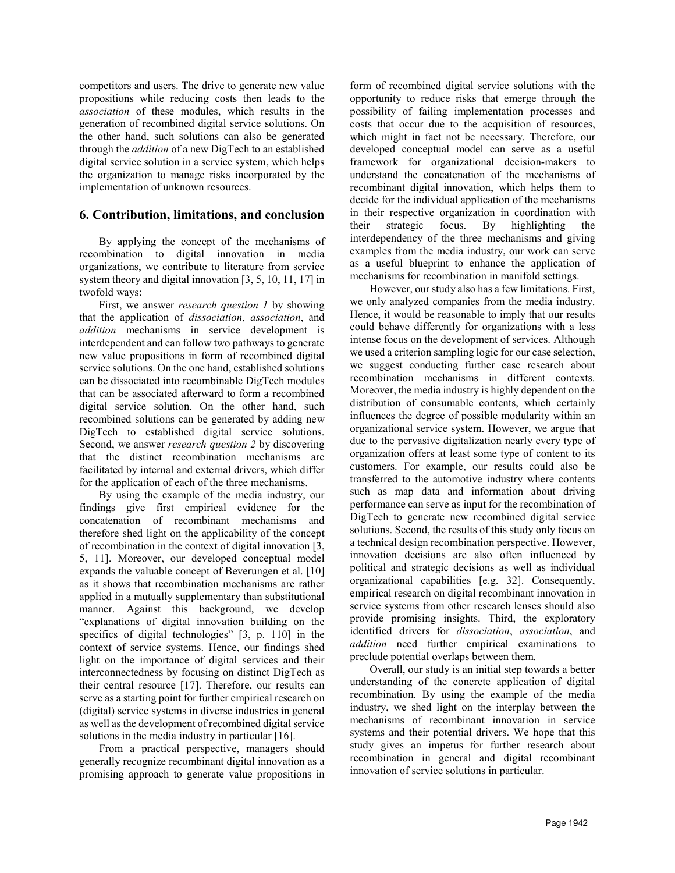competitors and users. The drive to generate new value propositions while reducing costs then leads to the *association* of these modules, which results in the generation of recombined digital service solutions. On the other hand, such solutions can also be generated through the *addition* of a new DigTech to an established digital service solution in a service system, which helps the organization to manage risks incorporated by the implementation of unknown resources.

## **6. Contribution, limitations, and conclusion**

By applying the concept of the mechanisms of recombination to digital innovation in media organizations, we contribute to literature from service system theory and digital innovation [3, 5, 10, 11, 17] in twofold ways:

First, we answer *research question 1* by showing that the application of *dissociation*, *association*, and *addition* mechanisms in service development is interdependent and can follow two pathways to generate new value propositions in form of recombined digital service solutions. On the one hand, established solutions can be dissociated into recombinable DigTech modules that can be associated afterward to form a recombined digital service solution. On the other hand, such recombined solutions can be generated by adding new DigTech to established digital service solutions. Second, we answer *research question 2* by discovering that the distinct recombination mechanisms are facilitated by internal and external drivers, which differ for the application of each of the three mechanisms.

By using the example of the media industry, our findings give first empirical evidence for the concatenation of recombinant mechanisms and therefore shed light on the applicability of the concept of recombination in the context of digital innovation [3, 5, 11]. Moreover, our developed conceptual model expands the valuable concept of Beverungen et al. [10] as it shows that recombination mechanisms are rather applied in a mutually supplementary than substitutional manner. Against this background, we develop "explanations of digital innovation building on the specifics of digital technologies" [3, p. 110] in the context of service systems. Hence, our findings shed light on the importance of digital services and their interconnectedness by focusing on distinct DigTech as their central resource [17]. Therefore, our results can serve as a starting point for further empirical research on (digital) service systems in diverse industries in general as well as the development of recombined digital service solutions in the media industry in particular [16].

From a practical perspective, managers should generally recognize recombinant digital innovation as a promising approach to generate value propositions in form of recombined digital service solutions with the opportunity to reduce risks that emerge through the possibility of failing implementation processes and costs that occur due to the acquisition of resources, which might in fact not be necessary. Therefore, our developed conceptual model can serve as a useful framework for organizational decision-makers to understand the concatenation of the mechanisms of recombinant digital innovation, which helps them to decide for the individual application of the mechanisms in their respective organization in coordination with their strategic focus. By highlighting the interdependency of the three mechanisms and giving examples from the media industry, our work can serve as a useful blueprint to enhance the application of mechanisms for recombination in manifold settings.

However, our study also has a few limitations. First, we only analyzed companies from the media industry. Hence, it would be reasonable to imply that our results could behave differently for organizations with a less intense focus on the development of services. Although we used a criterion sampling logic for our case selection, we suggest conducting further case research about recombination mechanisms in different contexts. Moreover, the media industry is highly dependent on the distribution of consumable contents, which certainly influences the degree of possible modularity within an organizational service system. However, we argue that due to the pervasive digitalization nearly every type of organization offers at least some type of content to its customers. For example, our results could also be transferred to the automotive industry where contents such as map data and information about driving performance can serve as input for the recombination of DigTech to generate new recombined digital service solutions. Second, the results of this study only focus on a technical design recombination perspective. However, innovation decisions are also often influenced by political and strategic decisions as well as individual organizational capabilities [e.g. 32]. Consequently, empirical research on digital recombinant innovation in service systems from other research lenses should also provide promising insights. Third, the exploratory identified drivers for *dissociation*, *association*, and *addition* need further empirical examinations to preclude potential overlaps between them.

Overall, our study is an initial step towards a better understanding of the concrete application of digital recombination. By using the example of the media industry, we shed light on the interplay between the mechanisms of recombinant innovation in service systems and their potential drivers. We hope that this study gives an impetus for further research about recombination in general and digital recombinant innovation of service solutions in particular.